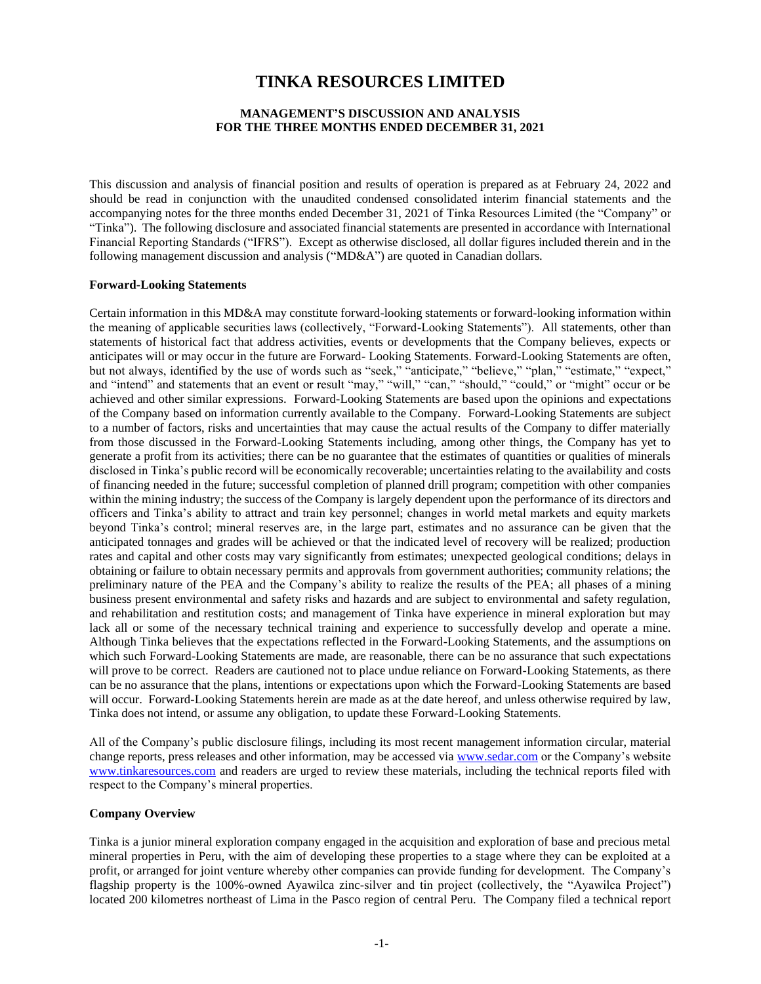# **TINKA RESOURCES LIMITED**

### **MANAGEMENT'S DISCUSSION AND ANALYSIS FOR THE THREE MONTHS ENDED DECEMBER 31, 2021**

This discussion and analysis of financial position and results of operation is prepared as at February 24, 2022 and should be read in conjunction with the unaudited condensed consolidated interim financial statements and the accompanying notes for the three months ended December 31, 2021 of Tinka Resources Limited (the "Company" or "Tinka"). The following disclosure and associated financial statements are presented in accordance with International Financial Reporting Standards ("IFRS"). Except as otherwise disclosed, all dollar figures included therein and in the following management discussion and analysis ("MD&A") are quoted in Canadian dollars.

#### **Forward-Looking Statements**

Certain information in this MD&A may constitute forward-looking statements or forward-looking information within the meaning of applicable securities laws (collectively, "Forward-Looking Statements"). All statements, other than statements of historical fact that address activities, events or developments that the Company believes, expects or anticipates will or may occur in the future are Forward- Looking Statements. Forward-Looking Statements are often, but not always, identified by the use of words such as "seek," "anticipate," "believe," "plan," "estimate," "expect," and "intend" and statements that an event or result "may," "will," "can," "should," "could," or "might" occur or be achieved and other similar expressions. Forward-Looking Statements are based upon the opinions and expectations of the Company based on information currently available to the Company. Forward-Looking Statements are subject to a number of factors, risks and uncertainties that may cause the actual results of the Company to differ materially from those discussed in the Forward-Looking Statements including, among other things, the Company has yet to generate a profit from its activities; there can be no guarantee that the estimates of quantities or qualities of minerals disclosed in Tinka's public record will be economically recoverable; uncertainties relating to the availability and costs of financing needed in the future; successful completion of planned drill program; competition with other companies within the mining industry; the success of the Company is largely dependent upon the performance of its directors and officers and Tinka's ability to attract and train key personnel; changes in world metal markets and equity markets beyond Tinka's control; mineral reserves are, in the large part, estimates and no assurance can be given that the anticipated tonnages and grades will be achieved or that the indicated level of recovery will be realized; production rates and capital and other costs may vary significantly from estimates; unexpected geological conditions; delays in obtaining or failure to obtain necessary permits and approvals from government authorities; community relations; the preliminary nature of the PEA and the Company's ability to realize the results of the PEA; all phases of a mining business present environmental and safety risks and hazards and are subject to environmental and safety regulation, and rehabilitation and restitution costs; and management of Tinka have experience in mineral exploration but may lack all or some of the necessary technical training and experience to successfully develop and operate a mine. Although Tinka believes that the expectations reflected in the Forward-Looking Statements, and the assumptions on which such Forward-Looking Statements are made, are reasonable, there can be no assurance that such expectations will prove to be correct. Readers are cautioned not to place undue reliance on Forward-Looking Statements, as there can be no assurance that the plans, intentions or expectations upon which the Forward-Looking Statements are based will occur. Forward-Looking Statements herein are made as at the date hereof, and unless otherwise required by law, Tinka does not intend, or assume any obligation, to update these Forward-Looking Statements.

All of the Company's public disclosure filings, including its most recent management information circular, material change reports, press releases and other information, may be accessed via [www.sedar.com](http://www.sedar.com/) or the Company's website [www.tinkaresources.com](http://www.tinkaresources.com/) and readers are urged to review these materials, including the technical reports filed with respect to the Company's mineral properties.

#### **Company Overview**

Tinka is a junior mineral exploration company engaged in the acquisition and exploration of base and precious metal mineral properties in Peru, with the aim of developing these properties to a stage where they can be exploited at a profit, or arranged for joint venture whereby other companies can provide funding for development. The Company's flagship property is the 100%-owned Ayawilca zinc-silver and tin project (collectively, the "Ayawilca Project") located 200 kilometres northeast of Lima in the Pasco region of central Peru. The Company filed a technical report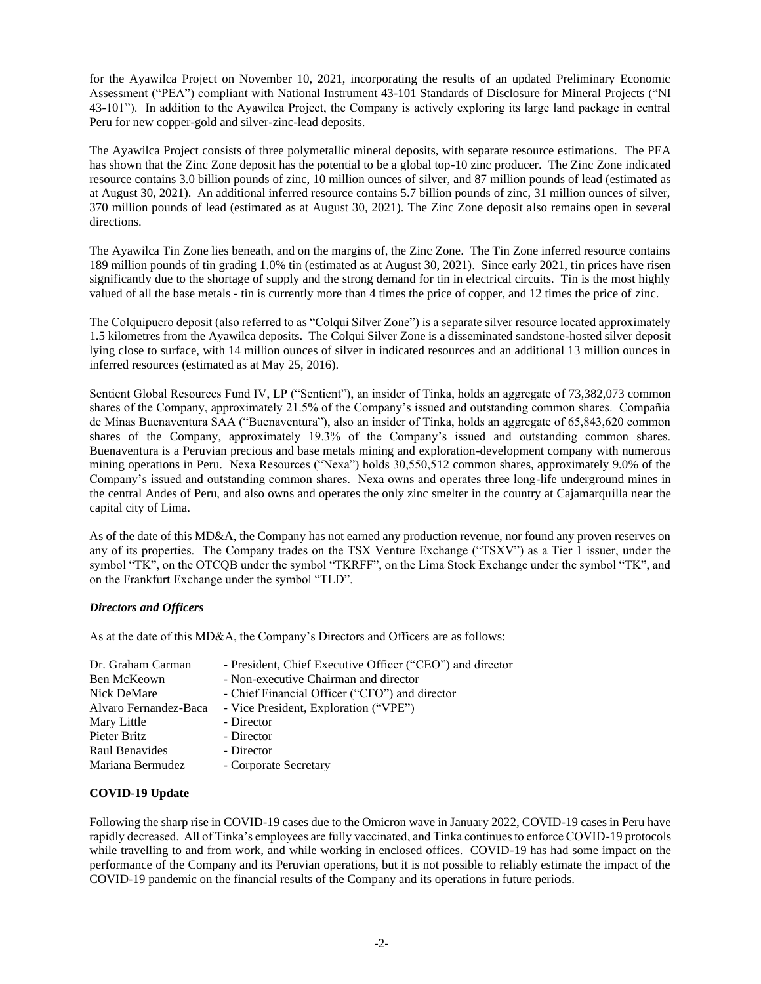for the Ayawilca Project on November 10, 2021, incorporating the results of an updated Preliminary Economic Assessment ("PEA") compliant with National Instrument 43-101 Standards of Disclosure for Mineral Projects ("NI 43-101"). In addition to the Ayawilca Project, the Company is actively exploring its large land package in central Peru for new copper-gold and silver-zinc-lead deposits.

The Ayawilca Project consists of three polymetallic mineral deposits, with separate resource estimations. The PEA has shown that the Zinc Zone deposit has the potential to be a global top-10 zinc producer. The Zinc Zone indicated resource contains 3.0 billion pounds of zinc, 10 million ounces of silver, and 87 million pounds of lead (estimated as at August 30, 2021). An additional inferred resource contains 5.7 billion pounds of zinc, 31 million ounces of silver, 370 million pounds of lead (estimated as at August 30, 2021). The Zinc Zone deposit also remains open in several directions.

The Ayawilca Tin Zone lies beneath, and on the margins of, the Zinc Zone. The Tin Zone inferred resource contains 189 million pounds of tin grading 1.0% tin (estimated as at August 30, 2021). Since early 2021, tin prices have risen significantly due to the shortage of supply and the strong demand for tin in electrical circuits. Tin is the most highly valued of all the base metals - tin is currently more than 4 times the price of copper, and 12 times the price of zinc.

The Colquipucro deposit (also referred to as "Colqui Silver Zone") is a separate silver resource located approximately 1.5 kilometres from the Ayawilca deposits. The Colqui Silver Zone is a disseminated sandstone-hosted silver deposit lying close to surface, with 14 million ounces of silver in indicated resources and an additional 13 million ounces in inferred resources (estimated as at May 25, 2016).

Sentient Global Resources Fund IV, LP ("Sentient"), an insider of Tinka, holds an aggregate of 73,382,073 common shares of the Company, approximately 21.5% of the Company's issued and outstanding common shares. Compañia de Minas Buenaventura SAA ("Buenaventura"), also an insider of Tinka, holds an aggregate of 65,843,620 common shares of the Company, approximately 19.3% of the Company's issued and outstanding common shares. Buenaventura is a Peruvian precious and base metals mining and exploration-development company with numerous mining operations in Peru. Nexa Resources ("Nexa") holds 30,550,512 common shares, approximately 9.0% of the Company's issued and outstanding common shares. Nexa owns and operates three long-life underground mines in the central Andes of Peru, and also owns and operates the only zinc smelter in the country at Cajamarquilla near the capital city of Lima.

As of the date of this MD&A, the Company has not earned any production revenue, nor found any proven reserves on any of its properties. The Company trades on the TSX Venture Exchange ("TSXV") as a Tier 1 issuer, under the symbol "TK", on the OTCQB under the symbol "TKRFF", on the Lima Stock Exchange under the symbol "TK", and on the Frankfurt Exchange under the symbol "TLD".

# *Directors and Officers*

As at the date of this MD&A, the Company's Directors and Officers are as follows:

| Dr. Graham Carman     | - President, Chief Executive Officer ("CEO") and director |
|-----------------------|-----------------------------------------------------------|
| Ben McKeown           | - Non-executive Chairman and director                     |
| Nick DeMare           | - Chief Financial Officer ("CFO") and director            |
| Alvaro Fernandez-Baca | - Vice President, Exploration ("VPE")                     |
| Mary Little           | - Director                                                |
| Pieter Britz          | - Director                                                |
| Raul Benavides        | - Director                                                |
| Mariana Bermudez      | - Corporate Secretary                                     |

# **COVID-19 Update**

Following the sharp rise in COVID-19 cases due to the Omicron wave in January 2022, COVID-19 cases in Peru have rapidly decreased. All of Tinka's employees are fully vaccinated, and Tinka continues to enforce COVID-19 protocols while travelling to and from work, and while working in enclosed offices. COVID-19 has had some impact on the performance of the Company and its Peruvian operations, but it is not possible to reliably estimate the impact of the COVID-19 pandemic on the financial results of the Company and its operations in future periods.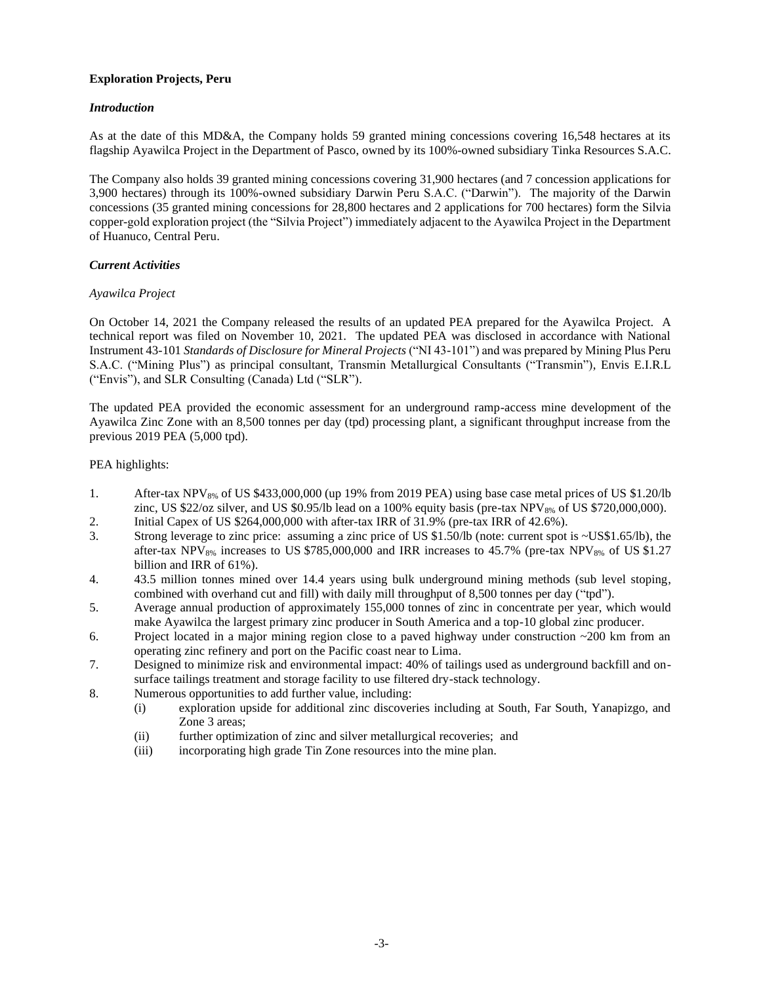# **Exploration Projects, Peru**

# *Introduction*

As at the date of this MD&A, the Company holds 59 granted mining concessions covering 16,548 hectares at its flagship Ayawilca Project in the Department of Pasco, owned by its 100%-owned subsidiary Tinka Resources S.A.C.

The Company also holds 39 granted mining concessions covering 31,900 hectares (and 7 concession applications for 3,900 hectares) through its 100%-owned subsidiary Darwin Peru S.A.C. ("Darwin"). The majority of the Darwin concessions (35 granted mining concessions for 28,800 hectares and 2 applications for 700 hectares) form the Silvia copper-gold exploration project (the "Silvia Project") immediately adjacent to the Ayawilca Project in the Department of Huanuco, Central Peru.

### *Current Activities*

### *Ayawilca Project*

On October 14, 2021 the Company released the results of an updated PEA prepared for the Ayawilca Project. A technical report was filed on November 10, 2021. The updated PEA was disclosed in accordance with National Instrument 43-101 *Standards of Disclosure for Mineral Projects* ("NI 43-101") and was prepared by Mining Plus Peru S.A.C. ("Mining Plus") as principal consultant, Transmin Metallurgical Consultants ("Transmin"), Envis E.I.R.L ("Envis"), and SLR Consulting (Canada) Ltd ("SLR").

The updated PEA provided the economic assessment for an underground ramp-access mine development of the Ayawilca Zinc Zone with an 8,500 tonnes per day (tpd) processing plant, a significant throughput increase from the previous 2019 PEA (5,000 tpd).

### PEA highlights:

- 1. After-tax NPV8% of US \$433,000,000 (up 19% from 2019 PEA) using base case metal prices of US \$1.20/lb zinc, US \$22/oz silver, and US \$0.95/lb lead on a 100% equity basis (pre-tax NPV8% of US \$720,000,000).
- 2. Initial Capex of US \$264,000,000 with after-tax IRR of 31.9% (pre-tax IRR of 42.6%).
- 3. Strong leverage to zinc price: assuming a zinc price of US \$1.50/lb (note: current spot is ~US\$1.65/lb), the after-tax NPV $_{8\%}$  increases to US \$785,000,000 and IRR increases to 45.7% (pre-tax NPV $_{8\%}$  of US \$1.27 billion and IRR of 61%).
- 4. 43.5 million tonnes mined over 14.4 years using bulk underground mining methods (sub level stoping, combined with overhand cut and fill) with daily mill throughput of 8,500 tonnes per day ("tpd").
- 5. Average annual production of approximately 155,000 tonnes of zinc in concentrate per year, which would make Ayawilca the largest primary zinc producer in South America and a top-10 global zinc producer.
- 6. Project located in a major mining region close to a paved highway under construction ~200 km from an operating zinc refinery and port on the Pacific coast near to Lima.
- 7. Designed to minimize risk and environmental impact: 40% of tailings used as underground backfill and onsurface tailings treatment and storage facility to use filtered dry-stack technology.
- 8. Numerous opportunities to add further value, including:
	- (i) exploration upside for additional zinc discoveries including at South, Far South, Yanapizgo, and Zone 3 areas;
	- (ii) further optimization of zinc and silver metallurgical recoveries; and
	- (iii) incorporating high grade Tin Zone resources into the mine plan.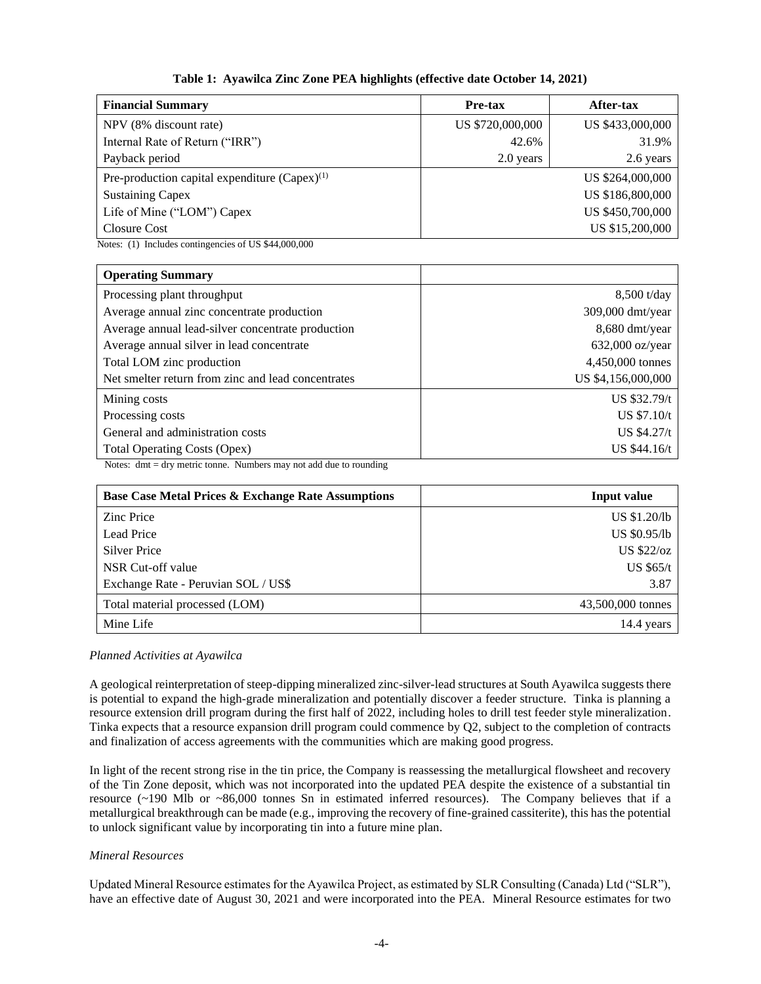**Table 1: Ayawilca Zinc Zone PEA highlights (effective date October 14, 2021)**

| <b>Financial Summary</b>                             | <b>Pre-tax</b>   | After-tax        |
|------------------------------------------------------|------------------|------------------|
| NPV (8% discount rate)                               | US \$720,000,000 | US \$433,000,000 |
| Internal Rate of Return ("IRR")                      | 42.6%            | 31.9%            |
| Payback period                                       | 2.0 years        | 2.6 years        |
| Pre-production capital expenditure $(Capex)^{(1)}$   |                  | US \$264,000,000 |
| <b>Sustaining Capex</b>                              |                  | US \$186,800,000 |
| Life of Mine ("LOM") Capex                           |                  | US \$450,700,000 |
| Closure Cost                                         |                  | US \$15,200,000  |
| Notes: (1) Includes contingencies of US \$44,000,000 |                  |                  |

| <b>Operating Summary</b>                                          |                    |
|-------------------------------------------------------------------|--------------------|
| Processing plant throughput                                       | $8,500$ t/day      |
| Average annual zinc concentrate production                        | 309,000 dmt/year   |
| Average annual lead-silver concentrate production                 | 8,680 dmt/year     |
| Average annual silver in lead concentrate                         | $632,000$ oz/year  |
| Total LOM zinc production                                         | 4,450,000 tonnes   |
| Net smelter return from zinc and lead concentrates                | US \$4,156,000,000 |
| Mining costs                                                      | US \$32.79/t       |
| Processing costs                                                  | US $$7.10/t$       |
| General and administration costs                                  | US $$4.27/t$       |
| <b>Total Operating Costs (Opex)</b>                               | US \$44.16/t       |
| $\cdot$ 111 $\cdot$<br>$\mathbf{v}$ , and the set of $\mathbf{v}$ |                    |

Notes: dmt = dry metric tonne. Numbers may not add due to rounding

| <b>Base Case Metal Prices &amp; Exchange Rate Assumptions</b> | <b>Input value</b> |
|---------------------------------------------------------------|--------------------|
| Zinc Price                                                    | US \$1.20/lb       |
| Lead Price                                                    | US \$0.95/lb       |
| <b>Silver Price</b>                                           | <b>US \$22/oz</b>  |
| NSR Cut-off value                                             | <b>US \$65/t</b>   |
| Exchange Rate - Peruvian SOL / US\$                           | 3.87               |
| Total material processed (LOM)                                | 43,500,000 tonnes  |
| Mine Life                                                     | 14.4 vears         |

# *Planned Activities at Ayawilca*

A geological reinterpretation of steep-dipping mineralized zinc-silver-lead structures at South Ayawilca suggests there is potential to expand the high-grade mineralization and potentially discover a feeder structure. Tinka is planning a resource extension drill program during the first half of 2022, including holes to drill test feeder style mineralization. Tinka expects that a resource expansion drill program could commence by Q2, subject to the completion of contracts and finalization of access agreements with the communities which are making good progress.

In light of the recent strong rise in the tin price, the Company is reassessing the metallurgical flowsheet and recovery of the Tin Zone deposit, which was not incorporated into the updated PEA despite the existence of a substantial tin resource (~190 Mlb or ~86,000 tonnes Sn in estimated inferred resources). The Company believes that if a metallurgical breakthrough can be made (e.g., improving the recovery of fine-grained cassiterite), this has the potential to unlock significant value by incorporating tin into a future mine plan.

# *Mineral Resources*

Updated Mineral Resource estimates for the Ayawilca Project, as estimated by SLR Consulting (Canada) Ltd ("SLR"), have an effective date of August 30, 2021 and were incorporated into the PEA. Mineral Resource estimates for two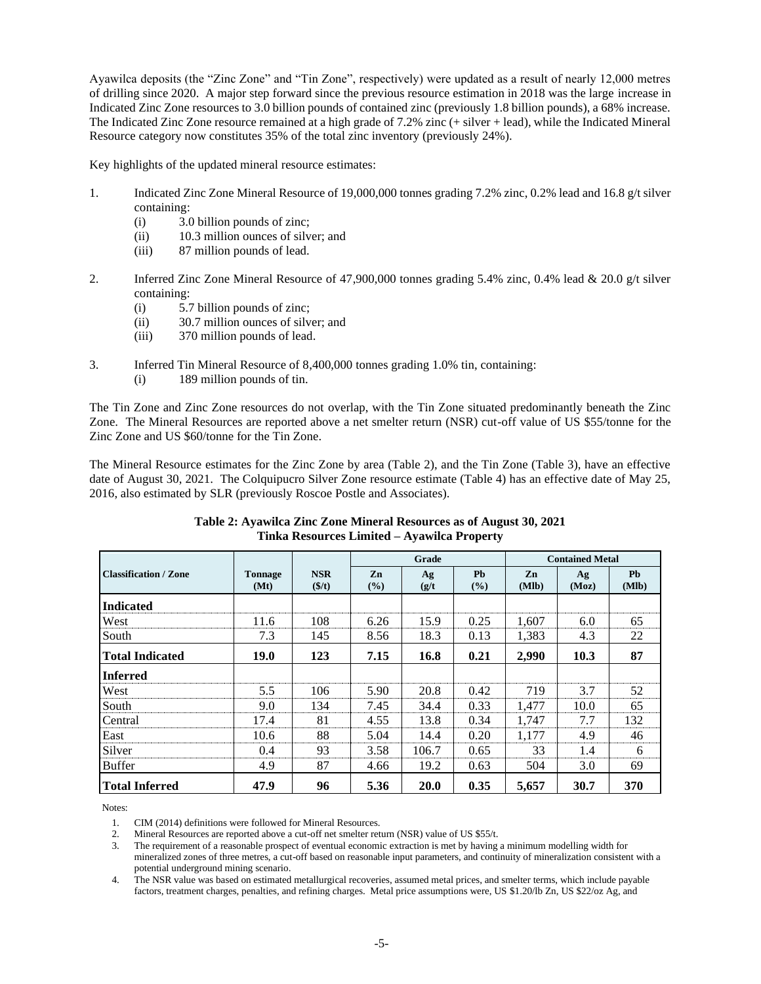Ayawilca deposits (the "Zinc Zone" and "Tin Zone", respectively) were updated as a result of nearly 12,000 metres of drilling since 2020. A major step forward since the previous resource estimation in 2018 was the large increase in Indicated Zinc Zone resources to 3.0 billion pounds of contained zinc (previously 1.8 billion pounds), a 68% increase. The Indicated Zinc Zone resource remained at a high grade of 7.2% zinc (+ silver + lead), while the Indicated Mineral Resource category now constitutes 35% of the total zinc inventory (previously 24%).

Key highlights of the updated mineral resource estimates:

- 1. Indicated Zinc Zone Mineral Resource of 19,000,000 tonnes grading 7.2% zinc, 0.2% lead and 16.8 g/t silver containing:
	- (i) 3.0 billion pounds of zinc;
	- (ii) 10.3 million ounces of silver; and
	- (iii) 87 million pounds of lead.
- 2. Inferred Zinc Zone Mineral Resource of 47,900,000 tonnes grading 5.4% zinc, 0.4% lead & 20.0 g/t silver containing:
	- (i) 5.7 billion pounds of zinc;
	- (ii) 30.7 million ounces of silver; and
	- (iii) 370 million pounds of lead.
- 3. Inferred Tin Mineral Resource of 8,400,000 tonnes grading 1.0% tin, containing:
	- (i) 189 million pounds of tin.

The Tin Zone and Zinc Zone resources do not overlap, with the Tin Zone situated predominantly beneath the Zinc Zone. The Mineral Resources are reported above a net smelter return (NSR) cut-off value of US \$55/tonne for the Zinc Zone and US \$60/tonne for the Tin Zone.

The Mineral Resource estimates for the Zinc Zone by area (Table 2), and the Tin Zone (Table 3), have an effective date of August 30, 2021. The Colquipucro Silver Zone resource estimate (Table 4) has an effective date of May 25, 2016, also estimated by SLR (previously Roscoe Postle and Associates).

|                              |                        |                               | Grade     |             |              | <b>Contained Metal</b> |             |                    |
|------------------------------|------------------------|-------------------------------|-----------|-------------|--------------|------------------------|-------------|--------------------|
| <b>Classification / Zone</b> | <b>Tonnage</b><br>(Mt) | <b>NSR</b><br>$(\frac{1}{2})$ | Zn<br>(%) | Ag<br>(g/t) | Pb<br>$($ %) | Zn<br>(Mlb)            | Ag<br>(Moz) | <b>Pb</b><br>(Mlb) |
| <b>Indicated</b>             |                        |                               |           |             |              |                        |             |                    |
| West                         | 11.6                   | 108                           | 6.26      | 15.9        | 0.25         | 1,607                  | 6.0         | 65                 |
| South                        | 7.3                    | 145                           | 8.56      | 18.3        | 0.13         | 1,383                  | 4.3         | 22                 |
| <b>Total Indicated</b>       | <b>19.0</b>            | 123                           | 7.15      | 16.8        | 0.21         | 2,990                  | 10.3        | 87                 |
| <b>Inferred</b>              |                        |                               |           |             |              |                        |             |                    |
| West                         | 5.5                    | 106                           | 5.90      | 20.8        | 0.42         | 719                    | 3.7         | 52                 |
| South                        | 9.0                    | 134                           | 7.45      | 34.4        | 0.33         | 1,477                  | 10.0        | 65                 |
| Central                      | 17.4                   | 81                            | 4.55      | 13.8        | 0.34         | 1,747                  | 7.7         | 132                |
| East                         | 10.6                   | 88                            | 5.04      | 14.4        | 0.20         | 1,177                  | 4.9         | 46                 |
| Silver                       | 0.4                    | 93                            | 3.58      | 106.7       | 0.65         | 33                     | 1.4         | 6                  |
| <b>Buffer</b>                | 4.9                    | 87                            | 4.66      | 19.2        | 0.63         | 504                    | 3.0         | 69                 |
| <b>Total Inferred</b>        | 47.9                   | 96                            | 5.36      | 20.0        | 0.35         | 5,657                  | 30.7        | 370                |

| Table 2: Ayawilca Zinc Zone Mineral Resources as of August 30, 2021 |                                             |  |
|---------------------------------------------------------------------|---------------------------------------------|--|
|                                                                     | Tinka Resources Limited - Ayawilca Property |  |

Notes:

1. CIM (2014) definitions were followed for Mineral Resources.

2. Mineral Resources are reported above a cut-off net smelter return (NSR) value of US \$55/t.

3. The requirement of a reasonable prospect of eventual economic extraction is met by having a minimum modelling width for mineralized zones of three metres, a cut-off based on reasonable input parameters, and continuity of mineralization consistent with a potential underground mining scenario.

4. The NSR value was based on estimated metallurgical recoveries, assumed metal prices, and smelter terms, which include payable factors, treatment charges, penalties, and refining charges. Metal price assumptions were, US \$1.20/lb Zn, US \$22/oz Ag, and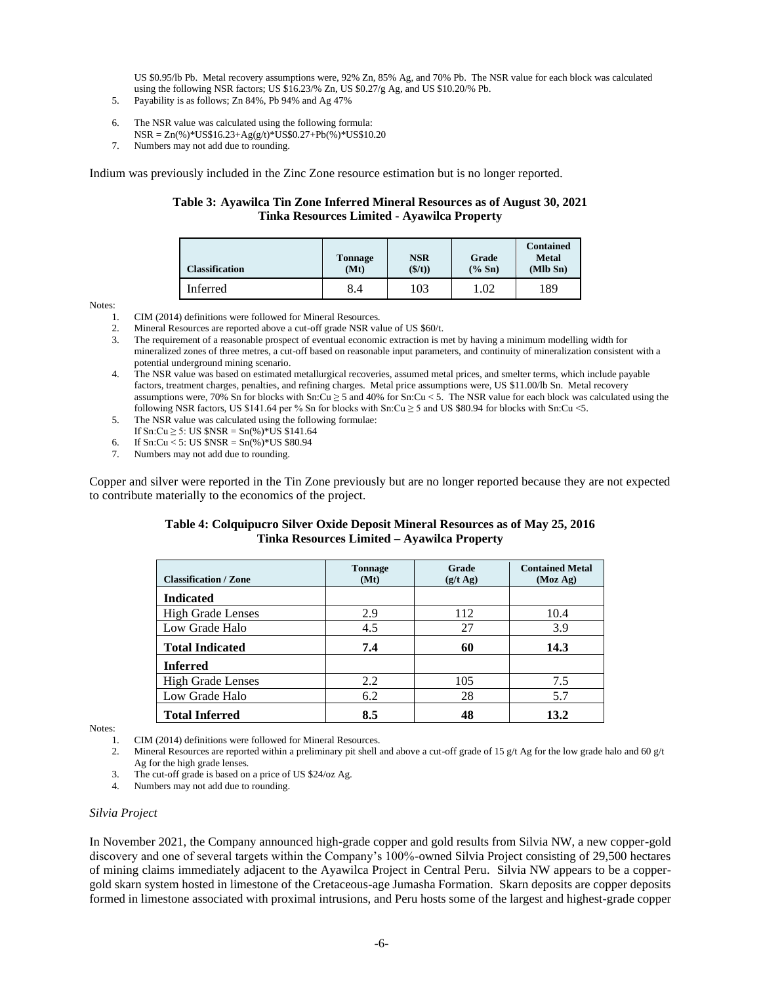US \$0.95/lb Pb. Metal recovery assumptions were, 92% Zn, 85% Ag, and 70% Pb. The NSR value for each block was calculated using the following NSR factors; US \$16.23/% Zn, US \$0.27/g Ag, and US \$10.20/% Pb.

- 5. Payability is as follows; Zn 84%, Pb 94% and Ag 47%
- 6. The NSR value was calculated using the following formula:  $NSR = Zn(\%)$ \*US\$16.23+Ag(g/t)\*US\$0.27+Pb(%)\*US\$10.20
- 7. Numbers may not add due to rounding.

Indium was previously included in the Zinc Zone resource estimation but is no longer reported.

# **Table 3: Ayawilca Tin Zone Inferred Mineral Resources as of August 30, 2021 Tinka Resources Limited - Ayawilca Property**

| <b>Classification</b> | <b>Tonnage</b><br>(Mt) | <b>NSR</b><br>$(\$/t))$ | Grade<br>$(\% Sn)$ | <b>Contained</b><br><b>Metal</b><br>$(Mlb\ Sn)$ |
|-----------------------|------------------------|-------------------------|--------------------|-------------------------------------------------|
| Inferred              | 8.4                    | 103                     | 1.02               | 189                                             |

Notes:

- 1. CIM (2014) definitions were followed for Mineral Resources.
- 2. Mineral Resources are reported above a cut-off grade NSR value of US \$60/t.
- 3. The requirement of a reasonable prospect of eventual economic extraction is met by having a minimum modelling width for mineralized zones of three metres, a cut-off based on reasonable input parameters, and continuity of mineralization consistent with a potential underground mining scenario.
- 4. The NSR value was based on estimated metallurgical recoveries, assumed metal prices, and smelter terms, which include payable factors, treatment charges, penalties, and refining charges. Metal price assumptions were, US \$11.00/lb Sn. Metal recovery assumptions were, 70% Sn for blocks with Sn:Cu  $\geq$  5 and 40% for Sn:Cu  $\lt$  5. The NSR value for each block was calculated using the following NSR factors, US \$141.64 per % Sn for blocks with Sn:Cu ≥ 5 and US \$80.94 for blocks with Sn:Cu <5.
- 5. The NSR value was calculated using the following formulae:
- If  $Sn:Cu \geq 5$ : US  $SNSR = Sn(\%) * US $141.64$
- 6. If  $Sn:Cu < 5$ : US  $SNSR = Sn(\%)$ \*US \$80.94
- 7. Numbers may not add due to rounding.

Copper and silver were reported in the Tin Zone previously but are no longer reported because they are not expected to contribute materially to the economics of the project.

### **Table 4: Colquipucro Silver Oxide Deposit Mineral Resources as of May 25, 2016 Tinka Resources Limited – Ayawilca Property**

| <b>Classification / Zone</b> | <b>Tonnage</b><br>(Mt) | Grade<br>$(g/t \text{ Ag})$ | <b>Contained Metal</b><br>(Moz Ag) |
|------------------------------|------------------------|-----------------------------|------------------------------------|
| <b>Indicated</b>             |                        |                             |                                    |
| <b>High Grade Lenses</b>     | 2.9                    | 112                         | 10.4                               |
| Low Grade Halo               | 4.5                    | 27                          | 3.9                                |
| <b>Total Indicated</b>       | 7.4                    | 60                          | 14.3                               |
| <b>Inferred</b>              |                        |                             |                                    |
| <b>High Grade Lenses</b>     | 2.2                    | 105                         | 7.5                                |
| Low Grade Halo               | 6.2                    | 28                          | 5.7                                |
| <b>Total Inferred</b>        | 8.5                    | 48                          | 13.2                               |

Notes:

1. CIM (2014) definitions were followed for Mineral Resources.

2. Mineral Resources are reported within a preliminary pit shell and above a cut-off grade of 15 g/t Ag for the low grade halo and 60 g/t Ag for the high grade lenses.

- The cut-off grade is based on a price of US \$24/oz Ag.
- 3. The cut-off grade is based on a price of 4. Numbers may not add due to rounding.

#### *Silvia Project*

In November 2021, the Company announced high-grade copper and gold results from Silvia NW, a new copper-gold discovery and one of several targets within the Company's 100%-owned Silvia Project consisting of 29,500 hectares of mining claims immediately adjacent to the Ayawilca Project in Central Peru. Silvia NW appears to be a coppergold skarn system hosted in limestone of the Cretaceous-age Jumasha Formation. Skarn deposits are copper deposits formed in limestone associated with proximal intrusions, and Peru hosts some of the largest and highest-grade copper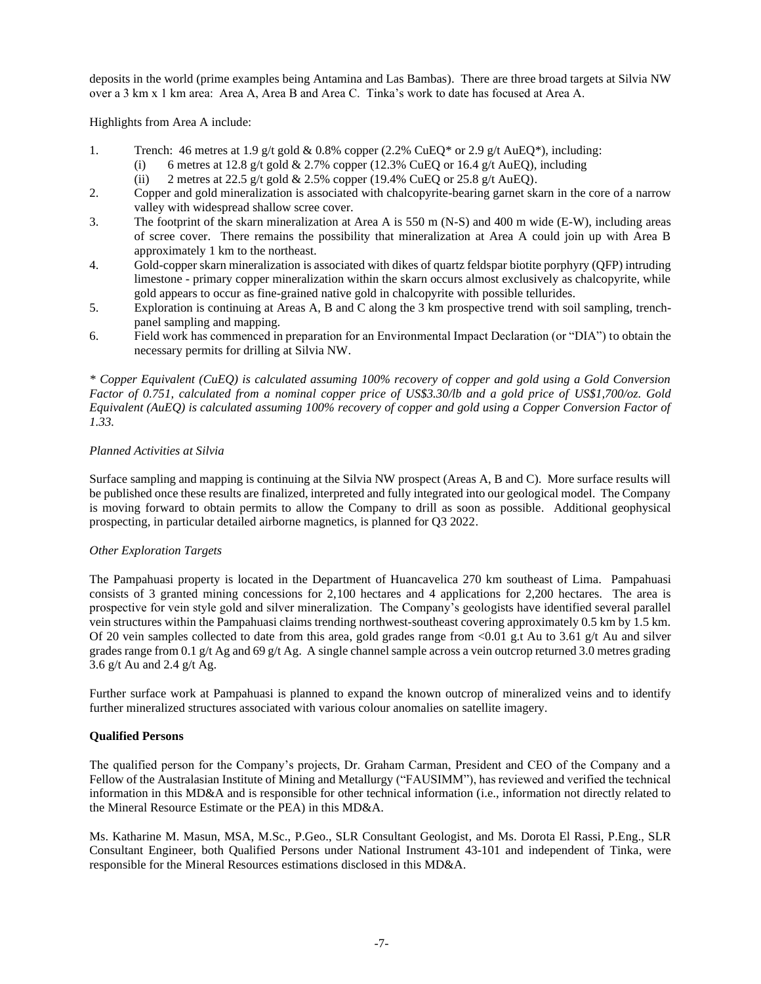deposits in the world (prime examples being Antamina and Las Bambas). There are three broad targets at Silvia NW over a 3 km x 1 km area: Area A, Area B and Area C. Tinka's work to date has focused at Area A.

Highlights from Area A include:

- 1. Trench: 46 metres at 1.9 g/t gold & 0.8% copper (2.2% CuEQ\* or 2.9 g/t AuEQ\*), including:
	- (i) 6 metres at 12.8 g/t gold  $& 2.7\%$  copper (12.3% CuEQ or 16.4 g/t AuEQ), including
	- (ii) 2 metres at 22.5 g/t gold & 2.5% copper (19.4% CuEQ or 25.8 g/t AuEQ).
- 2. Copper and gold mineralization is associated with chalcopyrite-bearing garnet skarn in the core of a narrow valley with widespread shallow scree cover.
- 3. The footprint of the skarn mineralization at Area A is 550 m (N-S) and 400 m wide (E-W), including areas of scree cover. There remains the possibility that mineralization at Area A could join up with Area B approximately 1 km to the northeast.
- 4. Gold-copper skarn mineralization is associated with dikes of quartz feldspar biotite porphyry (QFP) intruding limestone - primary copper mineralization within the skarn occurs almost exclusively as chalcopyrite, while gold appears to occur as fine-grained native gold in chalcopyrite with possible tellurides.
- 5. Exploration is continuing at Areas A, B and C along the 3 km prospective trend with soil sampling, trenchpanel sampling and mapping.
- 6. Field work has commenced in preparation for an Environmental Impact Declaration (or "DIA") to obtain the necessary permits for drilling at Silvia NW.

*\* Copper Equivalent (CuEQ) is calculated assuming 100% recovery of copper and gold using a Gold Conversion Factor of 0.751, calculated from a nominal copper price of US\$3.30/lb and a gold price of US\$1,700/oz. Gold Equivalent (AuEQ) is calculated assuming 100% recovery of copper and gold using a Copper Conversion Factor of 1.33.*

# *Planned Activities at Silvia*

Surface sampling and mapping is continuing at the Silvia NW prospect (Areas A, B and C). More surface results will be published once these results are finalized, interpreted and fully integrated into our geological model. The Company is moving forward to obtain permits to allow the Company to drill as soon as possible. Additional geophysical prospecting, in particular detailed airborne magnetics, is planned for Q3 2022.

# *Other Exploration Targets*

The Pampahuasi property is located in the Department of Huancavelica 270 km southeast of Lima. Pampahuasi consists of 3 granted mining concessions for 2,100 hectares and 4 applications for 2,200 hectares. The area is prospective for vein style gold and silver mineralization. The Company's geologists have identified several parallel vein structures within the Pampahuasi claims trending northwest-southeast covering approximately 0.5 km by 1.5 km. Of 20 vein samples collected to date from this area, gold grades range from <0.01 g.t Au to 3.61 g/t Au and silver grades range from 0.1 g/t Ag and 69 g/t Ag. A single channel sample across a vein outcrop returned 3.0 metres grading 3.6 g/t Au and 2.4 g/t Ag.

Further surface work at Pampahuasi is planned to expand the known outcrop of mineralized veins and to identify further mineralized structures associated with various colour anomalies on satellite imagery.

# **Qualified Persons**

The qualified person for the Company's projects, Dr. Graham Carman, President and CEO of the Company and a Fellow of the Australasian Institute of Mining and Metallurgy ("FAUSIMM"), has reviewed and verified the technical information in this MD&A and is responsible for other technical information (i.e., information not directly related to the Mineral Resource Estimate or the PEA) in this MD&A.

Ms. Katharine M. Masun, MSA, M.Sc., P.Geo., SLR Consultant Geologist, and Ms. Dorota El Rassi, P.Eng., SLR Consultant Engineer, both Qualified Persons under National Instrument 43-101 and independent of Tinka, were responsible for the Mineral Resources estimations disclosed in this MD&A.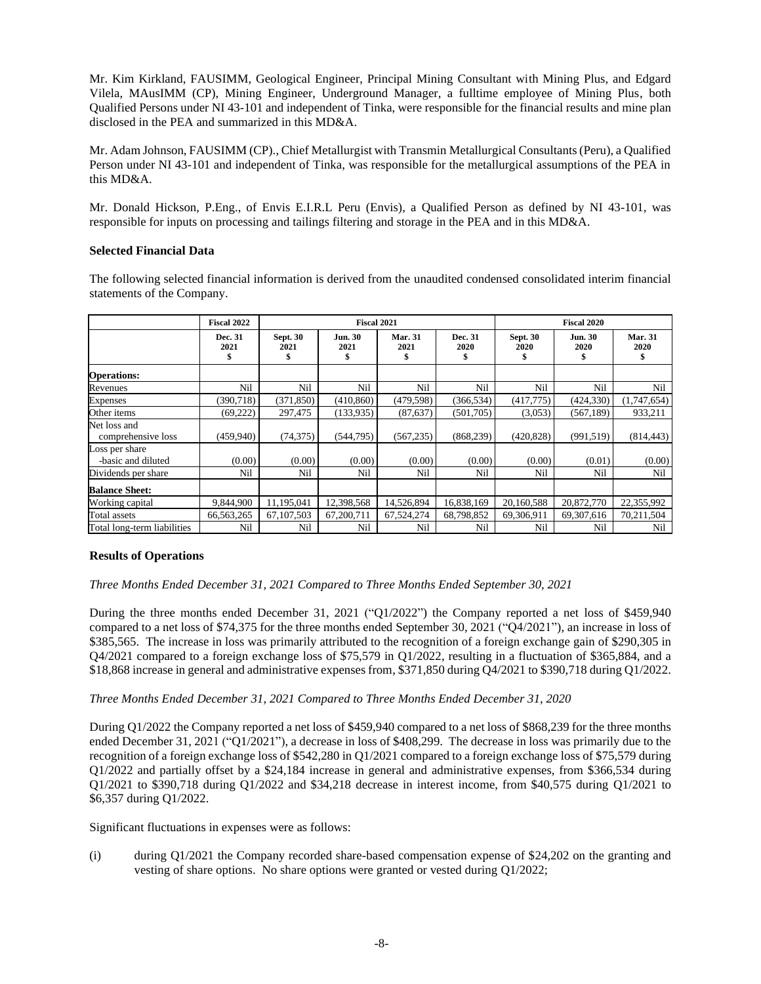Mr. Kim Kirkland, FAUSIMM, Geological Engineer, Principal Mining Consultant with Mining Plus, and Edgard Vilela, MAusIMM (CP), Mining Engineer, Underground Manager, a fulltime employee of Mining Plus, both Qualified Persons under NI 43-101 and independent of Tinka, were responsible for the financial results and mine plan disclosed in the PEA and summarized in this MD&A.

Mr. Adam Johnson, FAUSIMM (CP)., Chief Metallurgist with Transmin Metallurgical Consultants (Peru), a Qualified Person under NI 43-101 and independent of Tinka, was responsible for the metallurgical assumptions of the PEA in this MD&A.

Mr. Donald Hickson, P.Eng., of Envis E.I.R.L Peru (Envis), a Qualified Person as defined by NI 43-101, was responsible for inputs on processing and tailings filtering and storage in the PEA and in this MD&A.

### **Selected Financial Data**

The following selected financial information is derived from the unaudited condensed consolidated interim financial statements of the Company.

|                                      | <b>Fiscal 2022</b>    | <b>Fiscal 2021</b>      |                       |                        |                       | Fiscal 2020             |                             |                        |
|--------------------------------------|-----------------------|-------------------------|-----------------------|------------------------|-----------------------|-------------------------|-----------------------------|------------------------|
|                                      | Dec. 31<br>2021<br>\$ | <b>Sept. 30</b><br>2021 | Jun. 30<br>2021<br>\$ | <b>Mar. 31</b><br>2021 | Dec. 31<br>2020<br>\$ | <b>Sept. 30</b><br>2020 | <b>Jun. 30</b><br>2020<br>S | <b>Mar. 31</b><br>2020 |
| <b>Operations:</b>                   |                       |                         |                       |                        |                       |                         |                             |                        |
| Revenues                             | Nil                   | Nil                     | Nil                   | Nil                    | Nil                   | Nil                     | Nil                         | Nil                    |
| <b>Expenses</b>                      | (390,718)             | (371, 850)              | (410, 860)            | (479, 598)             | (366, 534)            | (417,775)               | (424, 330)                  | (1,747,654)            |
| Other items                          | (69, 222)             | 297,475                 | (133,935)             | (87, 637)              | (501,705)             | (3,053)                 | (567, 189)                  | 933,211                |
| Net loss and<br>comprehensive loss   | (459.940)             | (74, 375)               | (544, 795)            | (567, 235)             | (868, 239)            | (420, 828)              | (991, 519)                  | (814, 443)             |
| Loss per share<br>-basic and diluted | (0.00)                | (0.00)                  | (0.00)                | (0.00)                 | (0.00)                | (0.00)                  | (0.01)                      | (0.00)                 |
| Dividends per share                  | Nil                   | Nil                     | Nil                   | Nil                    | Nil                   | Nil                     | Nil                         | Nil                    |
| <b>Balance Sheet:</b>                |                       |                         |                       |                        |                       |                         |                             |                        |
| Working capital                      | 9,844,900             | 11,195,041              | 12,398,568            | 14,526,894             | 16,838,169            | 20,160,588              | 20,872,770                  | 22,355,992             |
| Total assets                         | 66,563,265            | 67, 107, 503            | 67,200,711            | 67,524,274             | 68,798,852            | 69,306,911              | 69,307,616                  | 70,211,504             |
| Total long-term liabilities          | Nil                   | Nil                     | Nil                   | Nil                    | Nil                   | Nil                     | Nil                         | Nil                    |

# **Results of Operations**

*Three Months Ended December 31, 2021 Compared to Three Months Ended September 30, 2021*

During the three months ended December 31, 2021 ("Q1/2022") the Company reported a net loss of \$459,940 compared to a net loss of \$74,375 for the three months ended September 30, 2021 ("Q4/2021"), an increase in loss of \$385,565. The increase in loss was primarily attributed to the recognition of a foreign exchange gain of \$290,305 in Q4/2021 compared to a foreign exchange loss of \$75,579 in Q1/2022, resulting in a fluctuation of \$365,884, and a \$18,868 increase in general and administrative expenses from, \$371,850 during Q4/2021 to \$390,718 during Q1/2022.

# *Three Months Ended December 31, 2021 Compared to Three Months Ended December 31, 2020*

During Q1/2022 the Company reported a net loss of \$459,940 compared to a net loss of \$868,239 for the three months ended December 31, 2021 ("Q1/2021"), a decrease in loss of \$408,299. The decrease in loss was primarily due to the recognition of a foreign exchange loss of \$542,280 in Q1/2021 compared to a foreign exchange loss of \$75,579 during Q1/2022 and partially offset by a \$24,184 increase in general and administrative expenses, from \$366,534 during Q1/2021 to \$390,718 during Q1/2022 and \$34,218 decrease in interest income, from \$40,575 during Q1/2021 to \$6,357 during Q1/2022.

Significant fluctuations in expenses were as follows:

(i) during Q1/2021 the Company recorded share-based compensation expense of \$24,202 on the granting and vesting of share options. No share options were granted or vested during Q1/2022;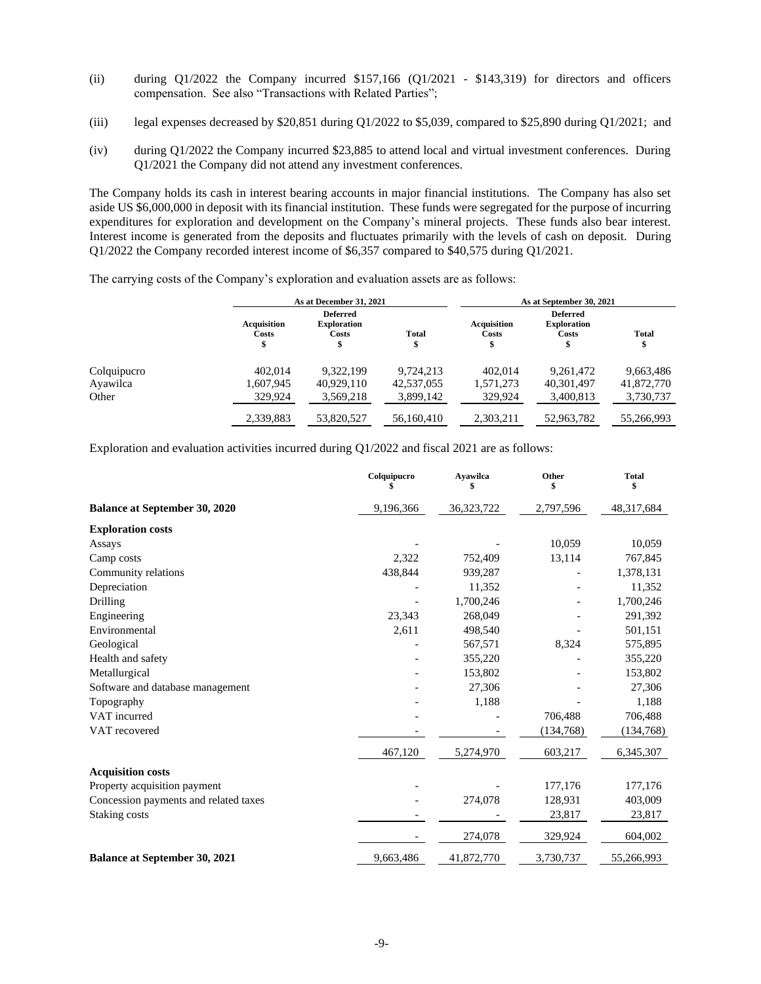- (ii) during  $Q1/2022$  the Company incurred \$157,166 ( $Q1/2021$  \$143,319) for directors and officers compensation. See also "Transactions with Related Parties";
- (iii) legal expenses decreased by \$20,851 during Q1/2022 to \$5,039, compared to \$25,890 during Q1/2021; and
- (iv) during Q1/2022 the Company incurred \$23,885 to attend local and virtual investment conferences. During Q1/2021 the Company did not attend any investment conferences.

The Company holds its cash in interest bearing accounts in major financial institutions. The Company has also set aside US \$6,000,000 in deposit with its financial institution. These funds were segregated for the purpose of incurring expenditures for exploration and development on the Company's mineral projects. These funds also bear interest. Interest income is generated from the deposits and fluctuates primarily with the levels of cash on deposit. During Q1/2022 the Company recorded interest income of \$6,357 compared to \$40,575 during Q1/2021.

The carrying costs of the Company's exploration and evaluation assets are as follows:

|             |                             | As at December 31, 2021                        |                    |                             | As at September 30, 2021                       |              |  |  |
|-------------|-----------------------------|------------------------------------------------|--------------------|-----------------------------|------------------------------------------------|--------------|--|--|
|             | <b>Acquisition</b><br>Costs | <b>Deferred</b><br><b>Exploration</b><br>Costs | <b>Total</b><br>\$ | <b>Acquisition</b><br>Costs | <b>Deferred</b><br><b>Exploration</b><br>Costs | <b>Total</b> |  |  |
| Colquipucro | 402,014                     | 9,322,199                                      | 9,724,213          | 402.014                     | 9, 261, 472                                    | 9,663,486    |  |  |
| Ayawilca    | 1,607,945                   | 40.929.110                                     | 42,537,055         | 1,571,273                   | 40,301,497                                     | 41,872,770   |  |  |
| Other       | 329,924                     | 3,569,218                                      | 3,899,142          | 329,924                     | 3,400,813                                      | 3,730,737    |  |  |
|             | 2,339,883                   | 53,820,527                                     | 56,160,410         | 2,303,211                   | 52,963,782                                     | 55,266,993   |  |  |

Exploration and evaluation activities incurred during Q1/2022 and fiscal 2021 are as follows:

|                                       | Colquipucro | Avawilca     | Other     | <b>Total</b><br>S |
|---------------------------------------|-------------|--------------|-----------|-------------------|
| <b>Balance at September 30, 2020</b>  | 9,196,366   | 36, 323, 722 | 2,797,596 | 48,317,684        |
| <b>Exploration costs</b>              |             |              |           |                   |
| Assays                                |             |              | 10,059    | 10,059            |
| Camp costs                            | 2,322       | 752,409      | 13,114    | 767,845           |
| Community relations                   | 438,844     | 939,287      |           | 1,378,131         |
| Depreciation                          |             | 11,352       |           | 11,352            |
| Drilling                              |             | 1,700,246    |           | 1,700,246         |
| Engineering                           | 23,343      | 268,049      |           | 291,392           |
| Environmental                         | 2,611       | 498,540      |           | 501,151           |
| Geological                            |             | 567,571      | 8,324     | 575,895           |
| Health and safety                     |             | 355,220      |           | 355,220           |
| Metallurgical                         |             | 153,802      |           | 153,802           |
| Software and database management      |             | 27,306       |           | 27,306            |
| Topography                            |             | 1,188        |           | 1,188             |
| VAT incurred                          |             |              | 706,488   | 706,488           |
| VAT recovered                         |             |              | (134,768) | (134, 768)        |
|                                       | 467,120     | 5,274,970    | 603,217   | 6,345,307         |
| <b>Acquisition costs</b>              |             |              |           |                   |
| Property acquisition payment          |             |              | 177,176   | 177,176           |
| Concession payments and related taxes |             | 274,078      | 128,931   | 403,009           |
| Staking costs                         |             |              | 23,817    | 23,817            |
|                                       |             | 274,078      | 329,924   | 604,002           |
| <b>Balance at September 30, 2021</b>  | 9,663,486   | 41,872,770   | 3,730,737 | 55,266,993        |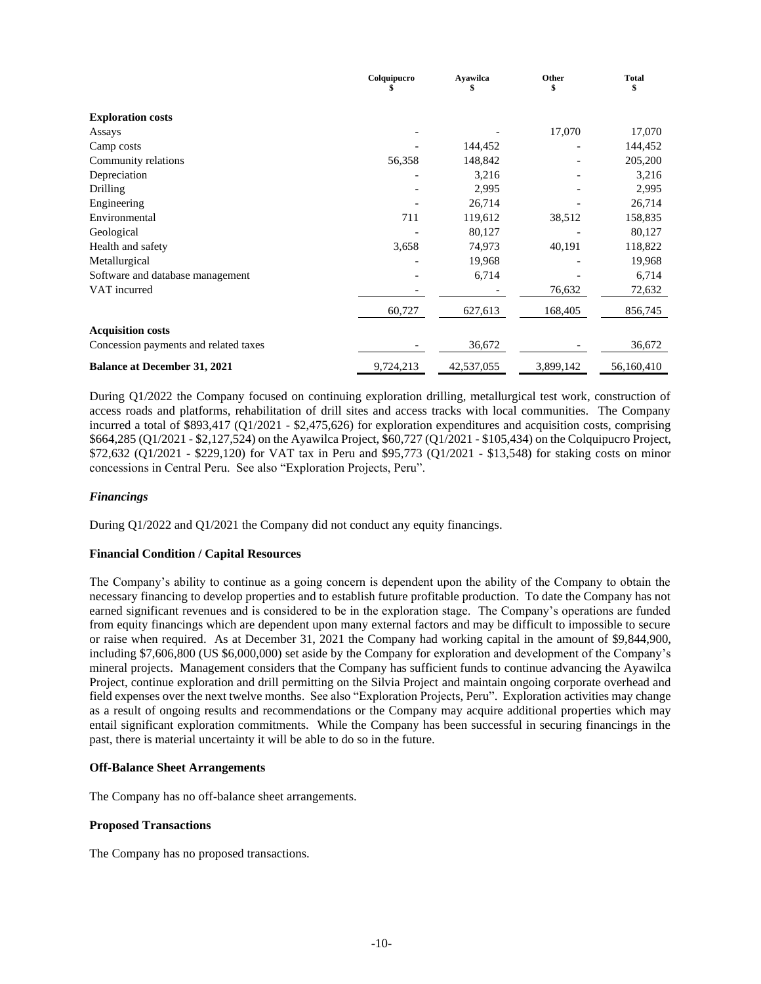|                                       | Colquipucro<br>ä | Ayawilca   | Other<br>\$ | <b>Total</b><br>\$ |
|---------------------------------------|------------------|------------|-------------|--------------------|
| <b>Exploration costs</b>              |                  |            |             |                    |
| Assays                                |                  |            | 17,070      | 17,070             |
| Camp costs                            |                  | 144,452    |             | 144,452            |
| Community relations                   | 56,358           | 148,842    |             | 205,200            |
| Depreciation                          |                  | 3,216      |             | 3,216              |
| <b>Drilling</b>                       |                  | 2,995      |             | 2,995              |
| Engineering                           |                  | 26,714     |             | 26,714             |
| Environmental                         | 711              | 119,612    | 38,512      | 158,835            |
| Geological                            |                  | 80,127     |             | 80,127             |
| Health and safety                     | 3,658            | 74,973     | 40,191      | 118,822            |
| Metallurgical                         |                  | 19,968     |             | 19,968             |
| Software and database management      |                  | 6,714      |             | 6,714              |
| VAT incurred                          |                  |            | 76,632      | 72,632             |
|                                       | 60,727           | 627,613    | 168,405     | 856,745            |
| <b>Acquisition costs</b>              |                  |            |             |                    |
| Concession payments and related taxes |                  | 36,672     |             | 36,672             |
| <b>Balance at December 31, 2021</b>   | 9,724,213        | 42,537,055 | 3,899,142   | 56,160,410         |

During Q1/2022 the Company focused on continuing exploration drilling, metallurgical test work, construction of access roads and platforms, rehabilitation of drill sites and access tracks with local communities. The Company incurred a total of \$893,417 (Q1/2021 - \$2,475,626) for exploration expenditures and acquisition costs, comprising \$664,285 (Q1/2021 - \$2,127,524) on the Ayawilca Project, \$60,727 (Q1/2021 - \$105,434) on the Colquipucro Project, \$72,632 (Q1/2021 - \$229,120) for VAT tax in Peru and \$95,773 (Q1/2021 - \$13,548) for staking costs on minor concessions in Central Peru. See also "Exploration Projects, Peru".

# *Financings*

During Q1/2022 and Q1/2021 the Company did not conduct any equity financings.

#### **Financial Condition / Capital Resources**

The Company's ability to continue as a going concern is dependent upon the ability of the Company to obtain the necessary financing to develop properties and to establish future profitable production. To date the Company has not earned significant revenues and is considered to be in the exploration stage. The Company's operations are funded from equity financings which are dependent upon many external factors and may be difficult to impossible to secure or raise when required. As at December 31, 2021 the Company had working capital in the amount of \$9,844,900, including \$7,606,800 (US \$6,000,000) set aside by the Company for exploration and development of the Company's mineral projects. Management considers that the Company has sufficient funds to continue advancing the Ayawilca Project, continue exploration and drill permitting on the Silvia Project and maintain ongoing corporate overhead and field expenses over the next twelve months. See also "Exploration Projects, Peru". Exploration activities may change as a result of ongoing results and recommendations or the Company may acquire additional properties which may entail significant exploration commitments. While the Company has been successful in securing financings in the past, there is material uncertainty it will be able to do so in the future.

#### **Off-Balance Sheet Arrangements**

The Company has no off-balance sheet arrangements.

#### **Proposed Transactions**

The Company has no proposed transactions.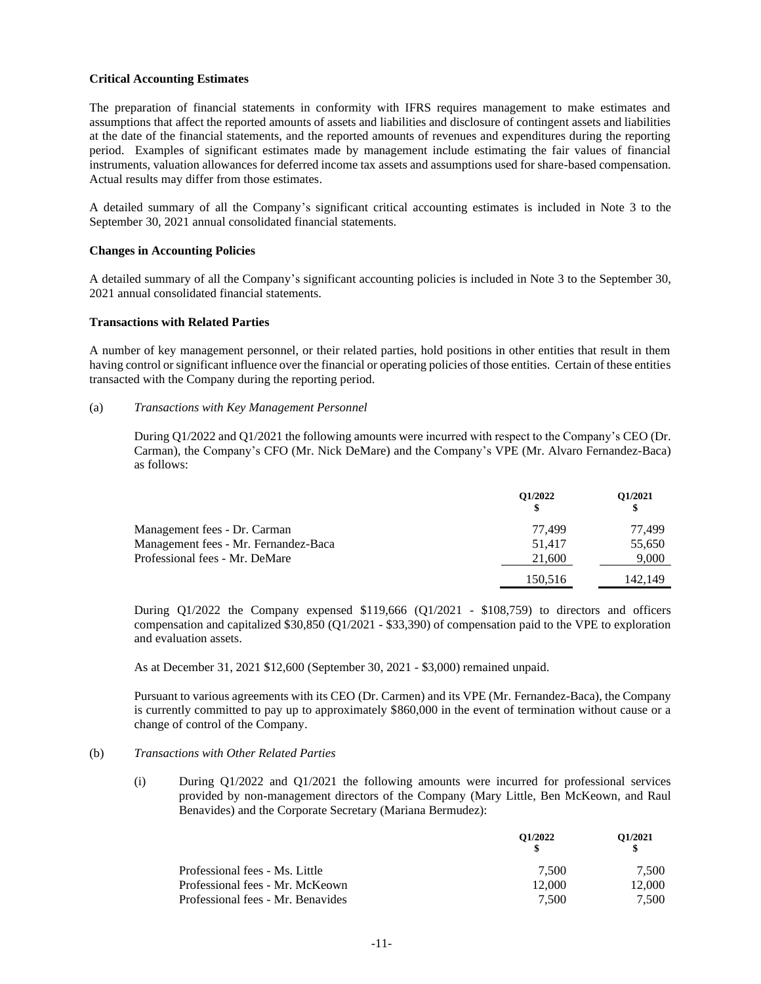#### **Critical Accounting Estimates**

The preparation of financial statements in conformity with IFRS requires management to make estimates and assumptions that affect the reported amounts of assets and liabilities and disclosure of contingent assets and liabilities at the date of the financial statements, and the reported amounts of revenues and expenditures during the reporting period. Examples of significant estimates made by management include estimating the fair values of financial instruments, valuation allowances for deferred income tax assets and assumptions used for share-based compensation. Actual results may differ from those estimates.

A detailed summary of all the Company's significant critical accounting estimates is included in Note 3 to the September 30, 2021 annual consolidated financial statements.

#### **Changes in Accounting Policies**

A detailed summary of all the Company's significant accounting policies is included in Note 3 to the September 30, 2021 annual consolidated financial statements.

#### **Transactions with Related Parties**

A number of key management personnel, or their related parties, hold positions in other entities that result in them having control or significant influence over the financial or operating policies of those entities. Certain of these entities transacted with the Company during the reporting period.

#### (a) *Transactions with Key Management Personnel*

During Q1/2022 and Q1/2021 the following amounts were incurred with respect to the Company's CEO (Dr. Carman), the Company's CFO (Mr. Nick DeMare) and the Company's VPE (Mr. Alvaro Fernandez-Baca) as follows:

|                                      | O1/2022 | O1/2021 |
|--------------------------------------|---------|---------|
| Management fees - Dr. Carman         | 77.499  | 77.499  |
| Management fees - Mr. Fernandez-Baca | 51.417  | 55,650  |
| Professional fees - Mr. DeMare       | 21,600  | 9,000   |
|                                      | 150,516 | 142,149 |

During Q1/2022 the Company expensed \$119,666 (Q1/2021 - \$108,759) to directors and officers compensation and capitalized \$30,850 (Q1/2021 - \$33,390) of compensation paid to the VPE to exploration and evaluation assets.

As at December 31, 2021 \$12,600 (September 30, 2021 - \$3,000) remained unpaid.

Pursuant to various agreements with its CEO (Dr. Carmen) and its VPE (Mr. Fernandez-Baca), the Company is currently committed to pay up to approximately \$860,000 in the event of termination without cause or a change of control of the Company.

#### (b) *Transactions with Other Related Parties*

(i) During Q1/2022 and Q1/2021 the following amounts were incurred for professional services provided by non-management directors of the Company (Mary Little, Ben McKeown, and Raul Benavides) and the Corporate Secretary (Mariana Bermudez):

|                                   | O1/2022 | O1/2021 |
|-----------------------------------|---------|---------|
|                                   |         |         |
| Professional fees - Ms. Little    | 7.500   | 7.500   |
| Professional fees - Mr. McKeown   | 12,000  | 12,000  |
| Professional fees - Mr. Benavides | 7.500   | 7.500   |